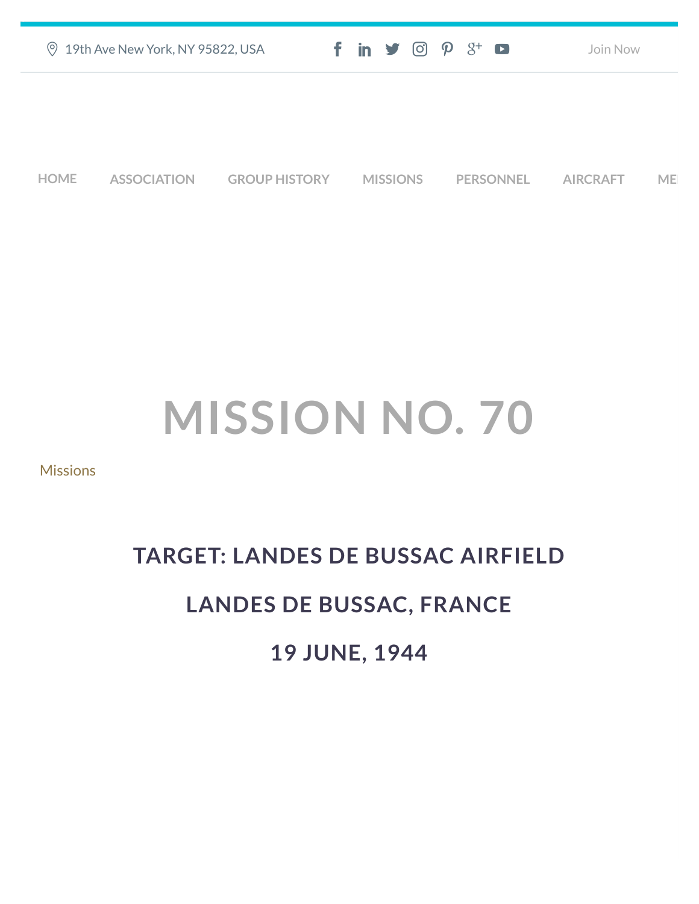|             | <b>9 19th Ave New York, NY 95822, USA</b> |                      |                 | $f$ in $\blacktriangleright$ $\heartsuit$ $\varnothing$ $\varnothing$ $\dashv$ $\Box$ |                  | Join Now        |           |  |
|-------------|-------------------------------------------|----------------------|-----------------|---------------------------------------------------------------------------------------|------------------|-----------------|-----------|--|
|             |                                           |                      |                 |                                                                                       |                  |                 |           |  |
|             |                                           |                      |                 |                                                                                       |                  |                 |           |  |
| <b>HOME</b> | <b>ASSOCIATION</b>                        | <b>GROUP HISTORY</b> | <b>MISSIONS</b> |                                                                                       | <b>PERSONNEL</b> | <b>AIRCRAFT</b> | <b>ME</b> |  |

## **MISSION NO. 70**

**[Missions](https://457thbombgroupassoc.org/category/missions/)** 

## **TARGET: LANDES DE BUSSAC AIRFIELD LANDES DE BUSSAC, FRANCE 19 JUNE, 1944**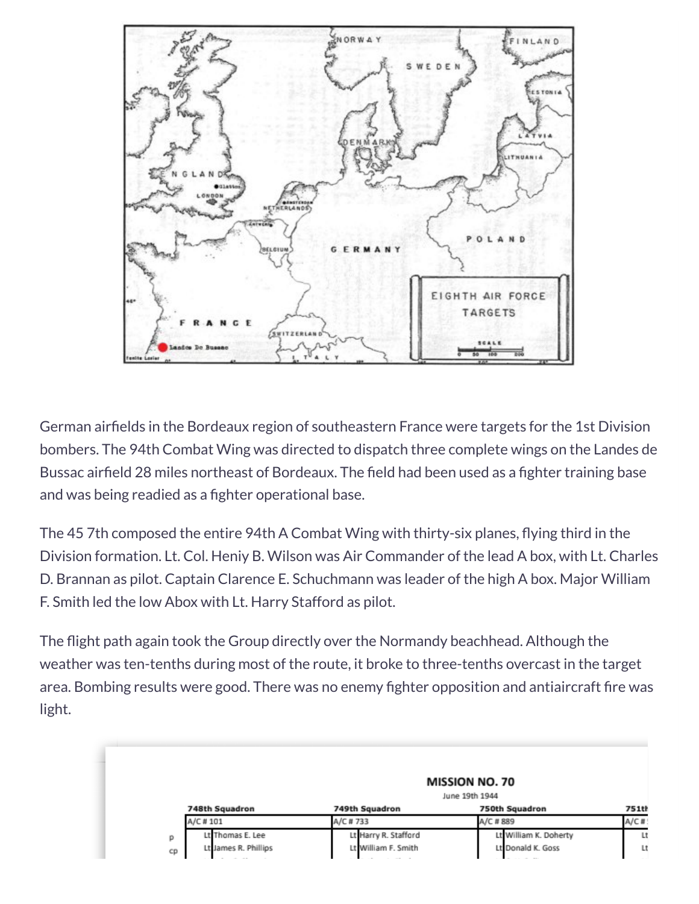

German airfields in the Bordeaux region of southeastern France were targets for the 1st Division bombers. The 94th Combat Wing was directed to dispatch three complete wings on the Landes de Bussac airfield 28 miles northeast of Bordeaux. The field had been used as a fighter training base and was being readied as a fighter operational base.

The 45 7th composed the entire 94th A Combat Wing with thirty-six planes, flying third in the Division formation. Lt. Col. Heniy B. Wilson was Air Commander of the lead A box, with Lt. Charles D. Brannan as pilot. Captain Clarence E. Schuchmann was leader of the high A box. Major William F. Smith led the low Abox with Lt. Harry Stafford as pilot.

The flight path again took the Group directly over the Normandy beachhead. Although the weather was ten-tenths during most of the route, it broke to three-tenths overcast in the target area. Bombing results were good. There was no enemy fighter opposition and antiaircraft fire was light.

|                            | <b>MISSION NO. 70</b> |                       |              |  |  |
|----------------------------|-----------------------|-----------------------|--------------|--|--|
|                            | June 19th 1944        |                       |              |  |  |
| 748th Squadron             | 749th Squadron        | 750th Squadron        | <b>751th</b> |  |  |
| A/C # 101                  | A/C #733              | A/C # 889             | $A/C$ #      |  |  |
| Lt Thomas E. Lee<br>p      | Lt Harry R. Stafford  | Lt William K. Doherty | Lt           |  |  |
| Lt James R. Phillips<br>cp | Lt William F. Smith   | Lt Donald K. Goss     | Lt           |  |  |